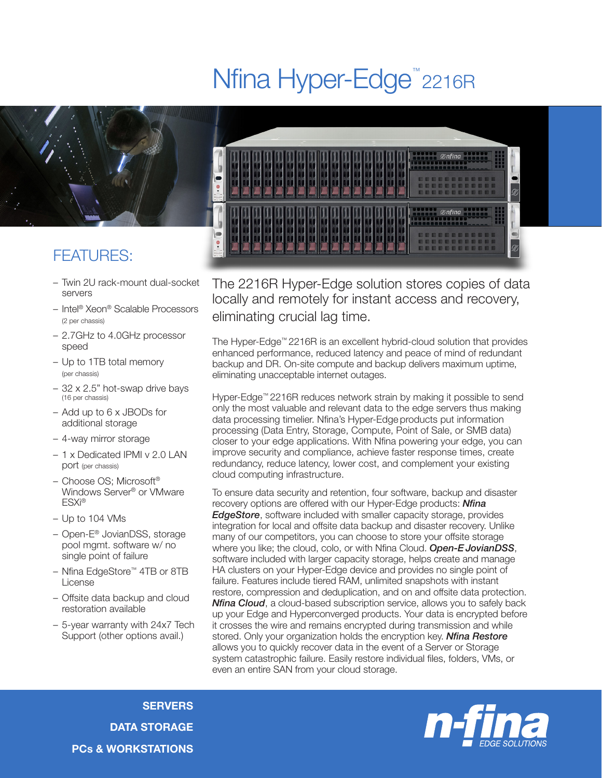## Nfina Hyper-Edge<sup>™</sup>2216R



## FEATURES:

- Twin 2U rack-mount dual-socket servers
- Intel® Xeon® Scalable Processors (2 per chassis)
- 2.7GHz to 4.0GHz processor speed
- Up to 1TB total memory (per chassis)
- 32 x 2.5" hot-swap drive bays (16 per chassis)
- Add up to 6 x JBODs for additional storage
- 4-way mirror storage
- 1 x Dedicated IPMI v 2.0 LAN port (per chassis)
- Choose OS; Microsoft® Windows Server® or VMware ESXi®
- Up to 104 VMs
- Open-E® JovianDSS, storage pool mgmt. software w/ no single point of failure
- Nfina EdgeStore™ 4TB or 8TB License
- Offsite data backup and cloud restoration available
- 5-year warranty with 24x7 Tech Support (other options avail.)



The 2216R Hyper-Edge solution stores copies of data locally and remotely for instant access and recovery, eliminating crucial lag time.

The Hyper-Edge™ 2216R is an excellent hybrid-cloud solution that provides enhanced performance, reduced latency and peace of mind of redundant backup and DR. On-site compute and backup delivers maximum uptime, eliminating unacceptable internet outages.

Hyper-Edge™ 2216R reduces network strain by making it possible to send only the most valuable and relevant data to the edge servers thus making data processing timelier. Nfina's Hyper-Edge products put information processing (Data Entry, Storage, Compute, Point of Sale, or SMB data) closer to your edge applications. With Nfina powering your edge, you can improve security and compliance, achieve faster response times, create redundancy, reduce latency, lower cost, and complement your existing cloud computing infrastructure.

To ensure data security and retention, four software, backup and disaster recovery options are offered with our Hyper-Edge products: *Nfina EdgeStore*, software included with smaller capacity storage, provides integration for local and offsite data backup and disaster recovery. Unlike many of our competitors, you can choose to store your offsite storage where you like; the cloud, colo, or with Nfina Cloud. *Open-EJovianDSS*, software included with larger capacity storage, helps create and manage HA clusters on your Hyper-Edge device and provides no single point of failure. Features include tiered RAM, unlimited snapshots with instant restore, compression and deduplication, and on and offsite data protection. *Nfina Cloud*, a cloud-based subscription service, allows you to safely back up your Edge and Hyperconverged products. Your data is encrypted before it crosses the wire and remains encrypted during transmission and while stored. Only your organization holds the encryption key. *Nfina Restore* allows you to quickly recover data in the event of a Server or Storage system catastrophic failure. Easily restore individual files, folders, VMs, or even an entire SAN from your cloud storage.

**SERVERS** DATA STORAGE PCs & WORKSTATIONS

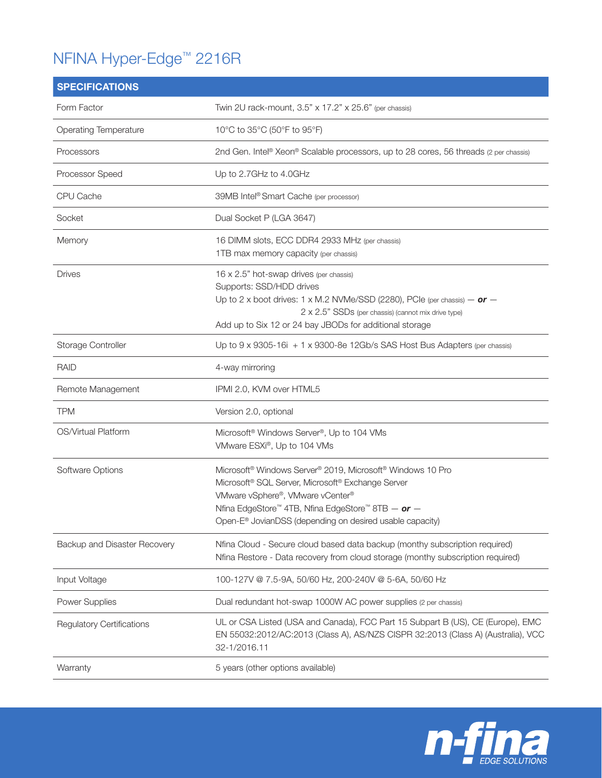## NFINA Hyper-Edge™ 2216R

| <b>SPECIFICATIONS</b>            |                                                                                                                                                                                                                                                                                                                      |
|----------------------------------|----------------------------------------------------------------------------------------------------------------------------------------------------------------------------------------------------------------------------------------------------------------------------------------------------------------------|
| Form Factor                      | Twin 2U rack-mount, 3.5" x 17.2" x 25.6" (per chassis)                                                                                                                                                                                                                                                               |
| <b>Operating Temperature</b>     | 10°C to 35°C (50°F to 95°F)                                                                                                                                                                                                                                                                                          |
| Processors                       | 2nd Gen. Intel® Xeon® Scalable processors, up to 28 cores, 56 threads (2 per chassis)                                                                                                                                                                                                                                |
| Processor Speed                  | Up to 2.7GHz to 4.0GHz                                                                                                                                                                                                                                                                                               |
| CPU Cache                        | 39MB Intel® Smart Cache (per processor)                                                                                                                                                                                                                                                                              |
| Socket                           | Dual Socket P (LGA 3647)                                                                                                                                                                                                                                                                                             |
| Memory                           | 16 DIMM slots, ECC DDR4 2933 MHz (per chassis)<br>1TB max memory capacity (per chassis)                                                                                                                                                                                                                              |
| <b>Drives</b>                    | 16 x 2.5" hot-swap drives (per chassis)<br>Supports: SSD/HDD drives<br>Up to 2 x boot drives: 1 x M.2 NVMe/SSD (2280), PCIe (per chassis) $-$ or $-$<br>2 x 2.5" SSDs (per chassis) (cannot mix drive type)<br>Add up to Six 12 or 24 bay JBODs for additional storage                                               |
| Storage Controller               | Up to 9 x 9305-16i + 1 x 9300-8e 12Gb/s SAS Host Bus Adapters (per chassis)                                                                                                                                                                                                                                          |
| <b>RAID</b>                      | 4-way mirroring                                                                                                                                                                                                                                                                                                      |
| Remote Management                | IPMI 2.0, KVM over HTML5                                                                                                                                                                                                                                                                                             |
| <b>TPM</b>                       | Version 2.0, optional                                                                                                                                                                                                                                                                                                |
| OS/Virtual Platform              | Microsoft <sup>®</sup> Windows Server <sup>®</sup> , Up to 104 VMs<br>VMware ESXi®, Up to 104 VMs                                                                                                                                                                                                                    |
| Software Options                 | Microsoft® Windows Server® 2019, Microsoft® Windows 10 Pro<br>Microsoft <sup>®</sup> SQL Server, Microsoft <sup>®</sup> Exchange Server<br>VMware vSphere®, VMware vCenter®<br>Nfina EdgeStore <sup>™</sup> 4TB, Nfina EdgeStore™ 8TB - or -<br>Open-E <sup>®</sup> JovianDSS (depending on desired usable capacity) |
| Backup and Disaster Recovery     | Nfina Cloud - Secure cloud based data backup (monthy subscription required)<br>Nfina Restore - Data recovery from cloud storage (monthy subscription required)                                                                                                                                                       |
| Input Voltage                    | 100-127V @ 7.5-9A, 50/60 Hz, 200-240V @ 5-6A, 50/60 Hz                                                                                                                                                                                                                                                               |
| Power Supplies                   | Dual redundant hot-swap 1000W AC power supplies (2 per chassis)                                                                                                                                                                                                                                                      |
| <b>Regulatory Certifications</b> | UL or CSA Listed (USA and Canada), FCC Part 15 Subpart B (US), CE (Europe), EMC<br>EN 55032:2012/AC:2013 (Class A), AS/NZS CISPR 32:2013 (Class A) (Australia), VCC<br>32-1/2016.11                                                                                                                                  |
| Warranty                         | 5 years (other options available)                                                                                                                                                                                                                                                                                    |